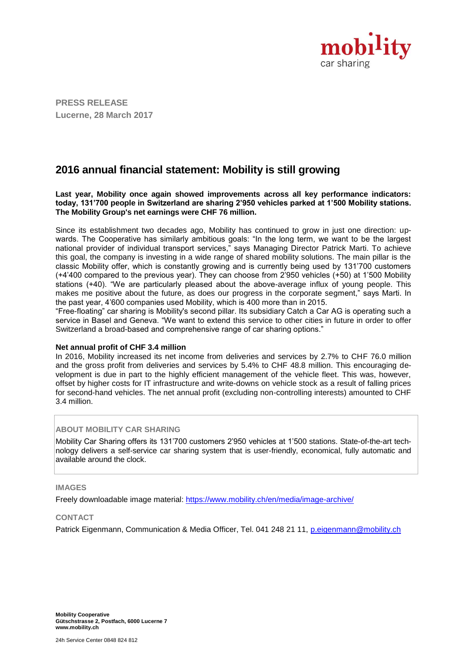

**PRESS RELEASE Lucerne, 28 March 2017**

# **2016 annual financial statement: Mobility is still growing**

**Last year, Mobility once again showed improvements across all key performance indicators: today, 131'700 people in Switzerland are sharing 2'950 vehicles parked at 1'500 Mobility stations. The Mobility Group's net earnings were CHF 76 million.**

Since its establishment two decades ago, Mobility has continued to grow in just one direction: upwards. The Cooperative has similarly ambitious goals: "In the long term, we want to be the largest national provider of individual transport services," says Managing Director Patrick Marti. To achieve this goal, the company is investing in a wide range of shared mobility solutions. The main pillar is the classic Mobility offer, which is constantly growing and is currently being used by 131'700 customers (+4'400 compared to the previous year). They can choose from 2'950 vehicles (+50) at 1'500 Mobility stations (+40). "We are particularly pleased about the above-average influx of young people. This makes me positive about the future, as does our progress in the corporate segment," says Marti. In the past year, 4'600 companies used Mobility, which is 400 more than in 2015.

"Free-floating" car sharing is Mobility's second pillar. Its subsidiary Catch a Car AG is operating such a service in Basel and Geneva. "We want to extend this service to other cities in future in order to offer Switzerland a broad-based and comprehensive range of car sharing options."

#### **Net annual profit of CHF 3.4 million**

In 2016, Mobility increased its net income from deliveries and services by 2.7% to CHF 76.0 million and the gross profit from deliveries and services by 5.4% to CHF 48.8 million. This encouraging development is due in part to the highly efficient management of the vehicle fleet. This was, however, offset by higher costs for IT infrastructure and write-downs on vehicle stock as a result of falling prices for second-hand vehicles. The net annual profit (excluding non-controlling interests) amounted to CHF 3.4 million.

### **ABOUT MOBILITY CAR SHARING**

Mobility Car Sharing offers its 131'700 customers 2'950 vehicles at 1'500 stations. State-of-the-art technology delivers a self-service car sharing system that is user-friendly, economical, fully automatic and available around the clock.

#### **IMAGES**

Freely downloadable image material: <https://www.mobility.ch/en/media/image-archive/>

#### **CONTACT**

Patrick Eigenmann, Communication & Media Officer, Tel. 041 248 21 11, [p.eigenmann@mobility.ch](mailto:p.eigenmann@mobility.ch)